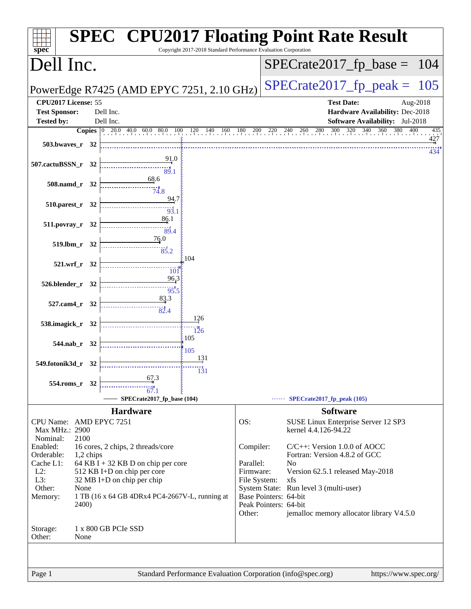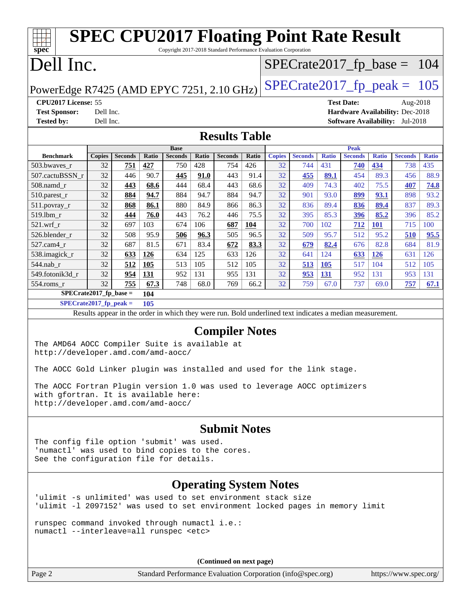| <b>SPEC CPU2017 Floating Point Rate Result</b><br>Copyright 2017-2018 Standard Performance Evaluation Corporation<br>$spec^*$                          |                        |                |             |                |              |                |             |                   |                |                               |                |                    |                                 |              |
|--------------------------------------------------------------------------------------------------------------------------------------------------------|------------------------|----------------|-------------|----------------|--------------|----------------|-------------|-------------------|----------------|-------------------------------|----------------|--------------------|---------------------------------|--------------|
| Dell Inc.<br>$SPECrate2017_fp\_base =$                                                                                                                 |                        |                |             |                |              | 104            |             |                   |                |                               |                |                    |                                 |              |
| PowerEdge R7425 (AMD EPYC 7251, 2.10 GHz)                                                                                                              |                        |                |             |                |              |                |             |                   |                | $SPECTate2017$ _fp_peak = 105 |                |                    |                                 |              |
| CPU2017 License: 55                                                                                                                                    |                        |                |             |                |              |                |             | <b>Test Date:</b> |                | Aug-2018                      |                |                    |                                 |              |
| <b>Test Sponsor:</b><br><b>Tested by:</b>                                                                                                              | Dell Inc.<br>Dell Inc. |                |             |                |              |                |             |                   |                |                               |                |                    | Hardware Availability: Dec-2018 |              |
| <b>Software Availability:</b> Jul-2018<br><b>Results Table</b>                                                                                         |                        |                |             |                |              |                |             |                   |                |                               |                |                    |                                 |              |
|                                                                                                                                                        |                        |                |             | <b>Base</b>    |              |                |             |                   |                |                               | <b>Peak</b>    |                    |                                 |              |
| <b>Benchmark</b>                                                                                                                                       | <b>Copies</b>          | <b>Seconds</b> | Ratio       | <b>Seconds</b> | <b>Ratio</b> | <b>Seconds</b> | Ratio       | <b>Copies</b>     | <b>Seconds</b> | <b>Ratio</b>                  | <b>Seconds</b> | <b>Ratio</b>       | <b>Seconds</b>                  | <b>Ratio</b> |
| 503.bwaves_r                                                                                                                                           | 32                     | 751            | 427         | 750            | 428          | 754            | 426         | 32                | 744            | 431                           | 740            | 434                | 738                             | 435          |
| 507.cactuBSSN_r                                                                                                                                        | 32                     | 446            | 90.7        | 445            | 91.0         | 443            | 91.4        | 32                | 455            | 89.1                          | 454            | 89.3               | 456                             | 88.9         |
| 508.namd_r                                                                                                                                             | 32                     | 443            | 68.6        | 444            | 68.4         | 443            | 68.6        | 32                | 409            | 74.3                          | 402            | 75.5               | 407                             | 74.8         |
| 510.parest_r                                                                                                                                           | 32                     | 884            | 94.7        | 884            | 94.7         | 884            | 94.7        | 32                | 901            | 93.0                          | 899            | 93.1               | 898                             | 93.2         |
| 511.povray_r                                                                                                                                           | 32                     | 868            | 86.1        | 880            | 84.9         | 866            | 86.3        | 32                | 836            | 89.4                          | 836            | 89.4               | 837                             | 89.3         |
| 519.lbm r<br>$521.wrf_r$                                                                                                                               | 32<br>32               | 444<br>697     | 76.0<br>103 | 443<br>674     | 76.2<br>106  | 446<br>687     | 75.5<br>104 | 32<br>32          | 395<br>700     | 85.3<br>102                   | 396<br>712     | 85.2<br><b>101</b> | 396<br>715                      | 85.2<br>100  |
| 526.blender_r                                                                                                                                          | 32                     | 508            | 95.9        | 506            | 96.3         | 505            | 96.5        | 32                | 509            | 95.7                          | 512            | 95.2               | 510                             | 95.5         |
| $527.cam4_r$                                                                                                                                           | 32                     | 687            | 81.5        | 671            | 83.4         | 672            | 83.3        | 32                | 679            | 82.4                          | 676            | 82.8               | 684                             | 81.9         |
| 538.imagick_r                                                                                                                                          | 32                     | 633            | 126         | 634            | 125          | 633            | 126         | 32                | 641            | 124                           | 633            | <b>126</b>         | 631                             | 126          |
| 544.nab_r                                                                                                                                              | 32                     | 512            | 105         | 513            | 105          | 512            | 105         | 32                | 513            | <b>105</b>                    | 517            | 104                | 512                             | 105          |
| 549.fotonik3d_r                                                                                                                                        | 32                     | 954            | 131         | 952            | 131          | 955            | 131         | 32                | 953            | 131                           | 952            | 131                | 953                             | 131          |
| $554$ .roms_r                                                                                                                                          | 32                     | 755            | 67.3        | 748            | 68.0         | 769            | 66.2        | 32                | 759            | 67.0                          | 737            | 69.0               | 757                             | 67.1         |
| $SPECrate2017_fp\_base =$                                                                                                                              |                        |                | 104         |                |              |                |             |                   |                |                               |                |                    |                                 |              |
| $SPECrate2017_fp\_peak =$                                                                                                                              |                        |                | 105         |                |              |                |             |                   |                |                               |                |                    |                                 |              |
| Results appear in the order in which they were run. Bold underlined text indicates a median measurement.                                               |                        |                |             |                |              |                |             |                   |                |                               |                |                    |                                 |              |
| <b>Compiler Notes</b><br>The AMD64 AOCC Compiler Suite is available at<br>http://developer.amd.com/amd-aocc/                                           |                        |                |             |                |              |                |             |                   |                |                               |                |                    |                                 |              |
| The AOCC Gold Linker plugin was installed and used for the link stage.                                                                                 |                        |                |             |                |              |                |             |                   |                |                               |                |                    |                                 |              |
| The AOCC Fortran Plugin version 1.0 was used to leverage AOCC optimizers<br>with gfortran. It is available here:<br>http://developer.amd.com/amd-aocc/ |                        |                |             |                |              |                |             |                   |                |                               |                |                    |                                 |              |
| <b>Submit Notes</b>                                                                                                                                    |                        |                |             |                |              |                |             |                   |                |                               |                |                    |                                 |              |
| The config file option 'submit' was used.<br>'numactl' was used to bind copies to the cores.<br>See the configuration file for details.                |                        |                |             |                |              |                |             |                   |                |                               |                |                    |                                 |              |
| <b>Operating System Notes</b>                                                                                                                          |                        |                |             |                |              |                |             |                   |                |                               |                |                    |                                 |              |
| 'ulimit -s unlimited' was used to set environment stack size<br>'ulimit -1 2097152' was used to set environment locked pages in memory limit           |                        |                |             |                |              |                |             |                   |                |                               |                |                    |                                 |              |
| runspec command invoked through numactl i.e.:<br>numactl --interleave=all runspec <etc></etc>                                                          |                        |                |             |                |              |                |             |                   |                |                               |                |                    |                                 |              |
| (Continued on next page)                                                                                                                               |                        |                |             |                |              |                |             |                   |                |                               |                |                    |                                 |              |
|                                                                                                                                                        |                        |                |             |                |              |                |             |                   |                |                               |                |                    |                                 |              |

Page 2 Standard Performance Evaluation Corporation [\(info@spec.org\)](mailto:info@spec.org) <https://www.spec.org/>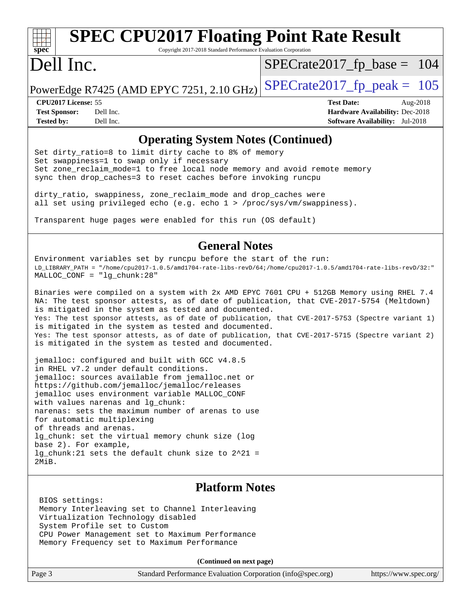# **[spec](http://www.spec.org/)**

# **[SPEC CPU2017 Floating Point Rate Result](http://www.spec.org/auto/cpu2017/Docs/result-fields.html#SPECCPU2017FloatingPointRateResult)**

Copyright 2017-2018 Standard Performance Evaluation Corporation

# Dell Inc.

[SPECrate2017\\_fp\\_base =](http://www.spec.org/auto/cpu2017/Docs/result-fields.html#SPECrate2017fpbase) 104

PowerEdge R7425 (AMD EPYC 7251, 2.10 GHz)  $\text{SPECrate2017\_fp\_peak} = 105$ 

**[Tested by:](http://www.spec.org/auto/cpu2017/Docs/result-fields.html#Testedby)** Dell Inc. **[Software Availability:](http://www.spec.org/auto/cpu2017/Docs/result-fields.html#SoftwareAvailability)** Jul-2018

**[CPU2017 License:](http://www.spec.org/auto/cpu2017/Docs/result-fields.html#CPU2017License)** 55 **[Test Date:](http://www.spec.org/auto/cpu2017/Docs/result-fields.html#TestDate)** Aug-2018 **[Test Sponsor:](http://www.spec.org/auto/cpu2017/Docs/result-fields.html#TestSponsor)** Dell Inc. **[Hardware Availability:](http://www.spec.org/auto/cpu2017/Docs/result-fields.html#HardwareAvailability)** Dec-2018

#### **[Operating System Notes \(Continued\)](http://www.spec.org/auto/cpu2017/Docs/result-fields.html#OperatingSystemNotes)**

Set dirty\_ratio=8 to limit dirty cache to 8% of memory Set swappiness=1 to swap only if necessary Set zone\_reclaim\_mode=1 to free local node memory and avoid remote memory sync then drop\_caches=3 to reset caches before invoking runcpu

dirty\_ratio, swappiness, zone\_reclaim\_mode and drop\_caches were all set using privileged echo (e.g. echo 1 > /proc/sys/vm/swappiness).

Transparent huge pages were enabled for this run (OS default)

#### **[General Notes](http://www.spec.org/auto/cpu2017/Docs/result-fields.html#GeneralNotes)**

Environment variables set by runcpu before the start of the run: LD\_LIBRARY\_PATH = "/home/cpu2017-1.0.5/amd1704-rate-libs-revD/64;/home/cpu2017-1.0.5/amd1704-rate-libs-revD/32:" MALLOC\_CONF = "lg\_chunk:28"

Binaries were compiled on a system with 2x AMD EPYC 7601 CPU + 512GB Memory using RHEL 7.4 NA: The test sponsor attests, as of date of publication, that CVE-2017-5754 (Meltdown) is mitigated in the system as tested and documented. Yes: The test sponsor attests, as of date of publication, that CVE-2017-5753 (Spectre variant 1) is mitigated in the system as tested and documented. Yes: The test sponsor attests, as of date of publication, that CVE-2017-5715 (Spectre variant 2) is mitigated in the system as tested and documented.

jemalloc: configured and built with GCC v4.8.5 in RHEL v7.2 under default conditions. jemalloc: sources available from jemalloc.net or <https://github.com/jemalloc/jemalloc/releases> jemalloc uses environment variable MALLOC\_CONF with values narenas and lg\_chunk: narenas: sets the maximum number of arenas to use for automatic multiplexing of threads and arenas. lg chunk: set the virtual memory chunk size (log base 2). For example, lg\_chunk:21 sets the default chunk size to 2^21 = 2MiB.

### **[Platform Notes](http://www.spec.org/auto/cpu2017/Docs/result-fields.html#PlatformNotes)**

 BIOS settings: Memory Interleaving set to Channel Interleaving Virtualization Technology disabled System Profile set to Custom CPU Power Management set to Maximum Performance Memory Frequency set to Maximum Performance

**(Continued on next page)**

| Page 3 | Standard Performance Evaluation Corporation (info@spec.org) | https://www.spec.org/ |
|--------|-------------------------------------------------------------|-----------------------|
|--------|-------------------------------------------------------------|-----------------------|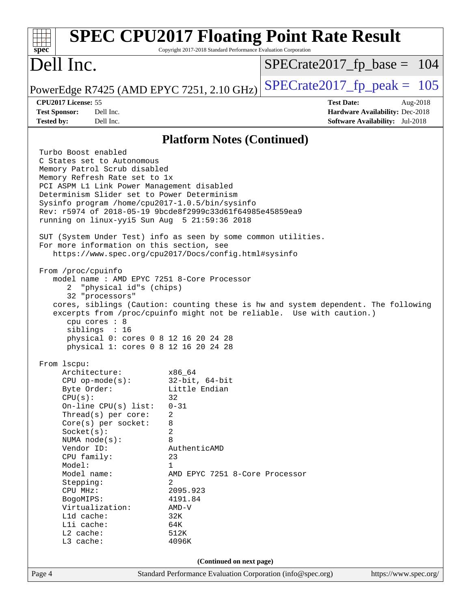| spec                                                                                                                                                                                                                                                                                                                                                                                           | Copyright 2017-2018 Standard Performance Evaluation Corporation                                                                                                                                                                     | <b>SPEC CPU2017 Floating Point Rate Result</b> |                                                                                              |
|------------------------------------------------------------------------------------------------------------------------------------------------------------------------------------------------------------------------------------------------------------------------------------------------------------------------------------------------------------------------------------------------|-------------------------------------------------------------------------------------------------------------------------------------------------------------------------------------------------------------------------------------|------------------------------------------------|----------------------------------------------------------------------------------------------|
| Dell Inc.                                                                                                                                                                                                                                                                                                                                                                                      |                                                                                                                                                                                                                                     | $SPECTate2017rfp base = 104$                   |                                                                                              |
| PowerEdge R7425 (AMD EPYC 7251, 2.10 GHz)                                                                                                                                                                                                                                                                                                                                                      |                                                                                                                                                                                                                                     | $SPECrate2017_fp\_peak = 105$                  |                                                                                              |
| CPU2017 License: 55<br><b>Test Sponsor:</b><br>Dell Inc.<br>Dell Inc.<br><b>Tested by:</b>                                                                                                                                                                                                                                                                                                     |                                                                                                                                                                                                                                     | <b>Test Date:</b>                              | Aug-2018<br><b>Hardware Availability: Dec-2018</b><br><b>Software Availability:</b> Jul-2018 |
|                                                                                                                                                                                                                                                                                                                                                                                                |                                                                                                                                                                                                                                     |                                                |                                                                                              |
| Turbo Boost enabled                                                                                                                                                                                                                                                                                                                                                                            | <b>Platform Notes (Continued)</b>                                                                                                                                                                                                   |                                                |                                                                                              |
| C States set to Autonomous<br>Memory Patrol Scrub disabled<br>Memory Refresh Rate set to 1x<br>PCI ASPM L1 Link Power Management disabled<br>Determinism Slider set to Power Determinism<br>Sysinfo program /home/cpu2017-1.0.5/bin/sysinfo<br>Rev: r5974 of 2018-05-19 9bcde8f2999c33d61f64985e45859ea9<br>running on linux-yyi5 Sun Aug 5 21:59:36 2018                                      |                                                                                                                                                                                                                                     |                                                |                                                                                              |
| SUT (System Under Test) info as seen by some common utilities.<br>For more information on this section, see<br>https://www.spec.org/cpu2017/Docs/config.html#sysinfo                                                                                                                                                                                                                           |                                                                                                                                                                                                                                     |                                                |                                                                                              |
| From /proc/cpuinfo<br>model name: AMD EPYC 7251 8-Core Processor<br>"physical id"s (chips)<br>32 "processors"<br>cores, siblings (Caution: counting these is hw and system dependent. The following<br>excerpts from /proc/cpuinfo might not be reliable. Use with caution.)<br>cpu cores : 8<br>siblings : 16<br>physical 0: cores 0 8 12 16 20 24 28<br>physical 1: cores 0 8 12 16 20 24 28 |                                                                                                                                                                                                                                     |                                                |                                                                                              |
| From lscpu:<br>Architecture:<br>$CPU$ op-mode( $s$ ):<br>Byte Order:<br>CPU(s):<br>On-line $CPU(s)$ list:<br>Thread(s) per core:<br>Core(s) per socket:<br>Socket(s):<br>NUMA node(s):<br>Vendor ID:<br>CPU family:<br>Model:<br>Model name:<br>Stepping:<br>CPU MHz:<br>BogoMIPS:<br>Virtualization:<br>L1d cache:<br>Lli cache:<br>L2 cache:<br>L3 cache:                                    | x86_64<br>$32$ -bit, $64$ -bit<br>Little Endian<br>32<br>$0 - 31$<br>2<br>8<br>2<br>8<br>AuthenticAMD<br>23<br>$\mathbf{1}$<br>AMD EPYC 7251 8-Core Processor<br>2<br>2095.923<br>4191.84<br>$AMD-V$<br>32K<br>64K<br>512K<br>4096K |                                                |                                                                                              |
|                                                                                                                                                                                                                                                                                                                                                                                                | (Continued on next page)                                                                                                                                                                                                            |                                                |                                                                                              |
| Page 4                                                                                                                                                                                                                                                                                                                                                                                         | Standard Performance Evaluation Corporation (info@spec.org)                                                                                                                                                                         |                                                | https://www.spec.org/                                                                        |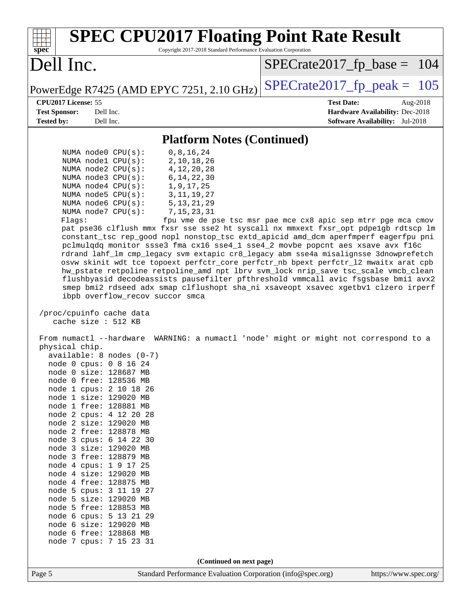| <b>SPEC CPU2017 Floating Point Rate Result</b><br>Copyright 2017-2018 Standard Performance Evaluation Corporation<br>$spec^*$                                                                                                                                                                                                                                                                                                                                                                                                                                                                                                                                                                                                                                                                                                                                                                                                                                                                                                                                                                                                                                                                                                                                                                                                                                                                                                                                                                                                                                                                                                                                                                                                                                                                                                         |                                                                                                                               |
|---------------------------------------------------------------------------------------------------------------------------------------------------------------------------------------------------------------------------------------------------------------------------------------------------------------------------------------------------------------------------------------------------------------------------------------------------------------------------------------------------------------------------------------------------------------------------------------------------------------------------------------------------------------------------------------------------------------------------------------------------------------------------------------------------------------------------------------------------------------------------------------------------------------------------------------------------------------------------------------------------------------------------------------------------------------------------------------------------------------------------------------------------------------------------------------------------------------------------------------------------------------------------------------------------------------------------------------------------------------------------------------------------------------------------------------------------------------------------------------------------------------------------------------------------------------------------------------------------------------------------------------------------------------------------------------------------------------------------------------------------------------------------------------------------------------------------------------|-------------------------------------------------------------------------------------------------------------------------------|
| Dell Inc.                                                                                                                                                                                                                                                                                                                                                                                                                                                                                                                                                                                                                                                                                                                                                                                                                                                                                                                                                                                                                                                                                                                                                                                                                                                                                                                                                                                                                                                                                                                                                                                                                                                                                                                                                                                                                             | $SPECrate2017_fp\_base = 104$                                                                                                 |
| PowerEdge R7425 (AMD EPYC 7251, 2.10 GHz)                                                                                                                                                                                                                                                                                                                                                                                                                                                                                                                                                                                                                                                                                                                                                                                                                                                                                                                                                                                                                                                                                                                                                                                                                                                                                                                                                                                                                                                                                                                                                                                                                                                                                                                                                                                             | $SPECTate2017$ _fp_peak = 105                                                                                                 |
| CPU2017 License: 55<br><b>Test Sponsor:</b><br>Dell Inc.<br><b>Tested by:</b><br>Dell Inc.                                                                                                                                                                                                                                                                                                                                                                                                                                                                                                                                                                                                                                                                                                                                                                                                                                                                                                                                                                                                                                                                                                                                                                                                                                                                                                                                                                                                                                                                                                                                                                                                                                                                                                                                            | <b>Test Date:</b><br>Aug-2018<br>Hardware Availability: Dec-2018<br><b>Software Availability:</b> Jul-2018                    |
| <b>Platform Notes (Continued)</b>                                                                                                                                                                                                                                                                                                                                                                                                                                                                                                                                                                                                                                                                                                                                                                                                                                                                                                                                                                                                                                                                                                                                                                                                                                                                                                                                                                                                                                                                                                                                                                                                                                                                                                                                                                                                     |                                                                                                                               |
| 0, 8, 16, 24<br>NUMA $node0$ $CPU(s)$ :<br>2, 10, 18, 26<br>NUMA $node1$ $CPU(s)$ :<br>NUMA $node2$ $CPU(s):$<br>4, 12, 20, 28<br>NUMA node3 CPU(s):<br>6, 14, 22, 30<br>NUMA $node4$ $CPU(s):$<br>1,9,17,25<br>NUMA $node5$ $CPU(s):$<br>3, 11, 19, 27<br>NUMA node6 CPU(s):<br>5, 13, 21, 29<br>7, 15, 23, 31<br>NUMA $node7$ $CPU(s):$<br>Flags:<br>pat pse36 clflush mmx fxsr sse sse2 ht syscall nx mmxext fxsr_opt pdpe1gb rdtscp lm<br>constant_tsc rep_good nopl nonstop_tsc extd_apicid amd_dcm aperfmperf eagerfpu pni<br>pclmulqdq monitor ssse3 fma cx16 sse4_1 sse4_2 movbe popcnt aes xsave avx f16c<br>rdrand lahf_lm cmp_legacy svm extapic cr8_legacy abm sse4a misalignsse 3dnowprefetch<br>osvw skinit wdt tce topoext perfctr_core perfctr_nb bpext perfctr_12 mwaitx arat cpb<br>hw_pstate retpoline retpoline_amd npt lbrv svm_lock nrip_save tsc_scale vmcb_clean<br>flushbyasid decodeassists pausefilter pfthreshold vmmcall avic fsgsbase bmil avx2<br>smep bmi2 rdseed adx smap clflushopt sha_ni xsaveopt xsavec xgetbvl clzero irperf<br>ibpb overflow_recov succor smca<br>/proc/cpuinfo cache data<br>cache size : 512 KB<br>From numactl --hardware<br>physical chip.<br>$available: 8 nodes (0-7)$<br>node 0 cpus: 0 8 16 24<br>node 0 size: 128687 MB<br>node 0 free: 128536 MB<br>node 1 cpus: 2 10 18 26<br>node 1 size: 129020 MB<br>node 1 free: 128881 MB<br>node 2 cpus: 4 12 20 28<br>node 2 size: 129020 MB<br>node 2 free: 128878 MB<br>node 3 cpus: 6 14 22 30<br>node 3 size: 129020 MB<br>node 3 free: 128879 MB<br>node 4 cpus: 1 9 17 25<br>node 4 size: 129020 MB<br>node 4 free: 128875 MB<br>node 5 cpus: 3 11 19 27<br>node 5 size: 129020 MB<br>node 5 free: 128853 MB<br>node 6 cpus: 5 13 21 29<br>node 6 size: 129020 MB<br>node 6 free: 128868 MB<br>node 7 cpus: 7 15 23 31 | fpu vme de pse tsc msr pae mce cx8 apic sep mtrr pge mca cmov<br>WARNING: a numactl 'node' might or might not correspond to a |
| (Continued on next page)                                                                                                                                                                                                                                                                                                                                                                                                                                                                                                                                                                                                                                                                                                                                                                                                                                                                                                                                                                                                                                                                                                                                                                                                                                                                                                                                                                                                                                                                                                                                                                                                                                                                                                                                                                                                              |                                                                                                                               |
| Standard Performance Evaluation Corporation (info@spec.org)<br>Page 5                                                                                                                                                                                                                                                                                                                                                                                                                                                                                                                                                                                                                                                                                                                                                                                                                                                                                                                                                                                                                                                                                                                                                                                                                                                                                                                                                                                                                                                                                                                                                                                                                                                                                                                                                                 | https://www.spec.org/                                                                                                         |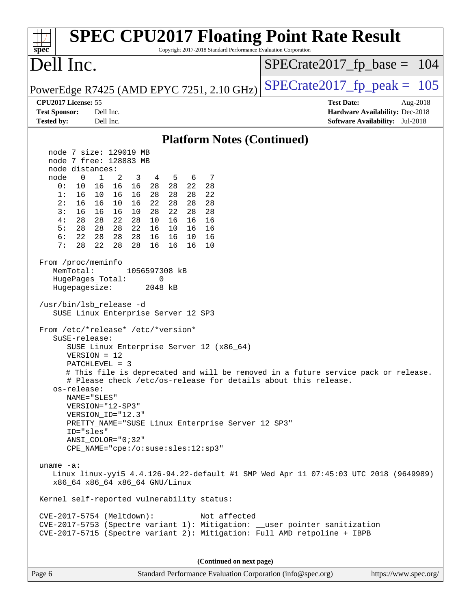| spec <sup>®</sup>                                                                                                                                                                    |                                                                                                                                                                                                                                                                                                                                                                                                            | Copyright 2017-2018 Standard Performance Evaluation Corporation | <b>SPEC CPU2017 Floating Point Rate Result</b>                                                                                                         |  |
|--------------------------------------------------------------------------------------------------------------------------------------------------------------------------------------|------------------------------------------------------------------------------------------------------------------------------------------------------------------------------------------------------------------------------------------------------------------------------------------------------------------------------------------------------------------------------------------------------------|-----------------------------------------------------------------|--------------------------------------------------------------------------------------------------------------------------------------------------------|--|
| Dell Inc.                                                                                                                                                                            |                                                                                                                                                                                                                                                                                                                                                                                                            |                                                                 | $SPECrate2017_fp\_base = 104$                                                                                                                          |  |
|                                                                                                                                                                                      | PowerEdge R7425 (AMD EPYC 7251, 2.10 GHz)                                                                                                                                                                                                                                                                                                                                                                  |                                                                 | $SPECrate2017rfp peak = 105$                                                                                                                           |  |
| CPU2017 License: 55                                                                                                                                                                  |                                                                                                                                                                                                                                                                                                                                                                                                            |                                                                 | <b>Test Date:</b><br>Aug-2018                                                                                                                          |  |
| <b>Test Sponsor:</b><br><b>Tested by:</b>                                                                                                                                            | Dell Inc.<br>Dell Inc.                                                                                                                                                                                                                                                                                                                                                                                     |                                                                 | Hardware Availability: Dec-2018<br><b>Software Availability:</b> Jul-2018                                                                              |  |
|                                                                                                                                                                                      |                                                                                                                                                                                                                                                                                                                                                                                                            |                                                                 |                                                                                                                                                        |  |
|                                                                                                                                                                                      |                                                                                                                                                                                                                                                                                                                                                                                                            | <b>Platform Notes (Continued)</b>                               |                                                                                                                                                        |  |
|                                                                                                                                                                                      | node 7 size: 129019 MB<br>node 7 free: 128883 MB                                                                                                                                                                                                                                                                                                                                                           |                                                                 |                                                                                                                                                        |  |
| node distances:                                                                                                                                                                      |                                                                                                                                                                                                                                                                                                                                                                                                            |                                                                 |                                                                                                                                                        |  |
| node<br>$\mathbf 0$                                                                                                                                                                  | $\mathbf{1}$<br>2<br>3<br>4 5<br>6                                                                                                                                                                                                                                                                                                                                                                         | 7                                                               |                                                                                                                                                        |  |
| 0:<br>10                                                                                                                                                                             | 16 16 16<br>28  28  22                                                                                                                                                                                                                                                                                                                                                                                     | 28                                                              |                                                                                                                                                        |  |
| 1:<br>16                                                                                                                                                                             | 10 16<br>16<br>28<br>28<br>28                                                                                                                                                                                                                                                                                                                                                                              | 22                                                              |                                                                                                                                                        |  |
| 2:<br>16<br>3:                                                                                                                                                                       | 16 10<br>16<br>22<br>28<br>28                                                                                                                                                                                                                                                                                                                                                                              | 28                                                              |                                                                                                                                                        |  |
| 16<br>28<br>4 :                                                                                                                                                                      | 22<br>28<br>16 16<br>10<br>28<br>28 22 28<br>10<br>16<br>16                                                                                                                                                                                                                                                                                                                                                | 28<br>16                                                        |                                                                                                                                                        |  |
| 5:<br>28                                                                                                                                                                             | 28 22<br>16<br>28<br>10<br>16                                                                                                                                                                                                                                                                                                                                                                              | 16                                                              |                                                                                                                                                        |  |
| 6:<br>22                                                                                                                                                                             | 28<br>28 28<br>16 16<br>10                                                                                                                                                                                                                                                                                                                                                                                 | 16                                                              |                                                                                                                                                        |  |
| 7:<br>28                                                                                                                                                                             | 22<br>28<br>28<br>16<br>16<br>16                                                                                                                                                                                                                                                                                                                                                                           | 10                                                              |                                                                                                                                                        |  |
| From /proc/meminfo<br>MemTotal:<br>HugePages_Total:<br>Hugepagesize:<br>/usr/bin/lsb_release -d<br>SuSE-release:<br>$VERSION = 12$<br>os-release:<br>NAME="SLES"<br>ID="sles"        | 1056597308 kB<br>0<br>2048 kB<br>SUSE Linux Enterprise Server 12 SP3<br>From /etc/*release* /etc/*version*<br>SUSE Linux Enterprise Server 12 (x86_64)<br>PATCHLEVEL = 3<br># Please check /etc/os-release for details about this release.<br>VERSION="12-SP3"<br>VERSION_ID="12.3"<br>PRETTY_NAME="SUSE Linux Enterprise Server 12 SP3"<br>ANSI_COLOR="0;32"<br>$CPE\_NAME = "cpe://o:suse: sles:12:sp3"$ |                                                                 | # This file is deprecated and will be removed in a future service pack or release.                                                                     |  |
| uname $-a$ :<br>Linux linux-yyi5 4.4.126-94.22-default #1 SMP Wed Apr 11 07:45:03 UTC 2018 (9649989)<br>x86_64 x86_64 x86_64 GNU/Linux<br>Kernel self-reported vulnerability status: |                                                                                                                                                                                                                                                                                                                                                                                                            |                                                                 |                                                                                                                                                        |  |
| CVE-2017-5754 (Meltdown):                                                                                                                                                            |                                                                                                                                                                                                                                                                                                                                                                                                            | Not affected                                                    | CVE-2017-5753 (Spectre variant 1): Mitigation: __user pointer sanitization<br>CVE-2017-5715 (Spectre variant 2): Mitigation: Full AMD retpoline + IBPB |  |
|                                                                                                                                                                                      |                                                                                                                                                                                                                                                                                                                                                                                                            | (Continued on next page)                                        |                                                                                                                                                        |  |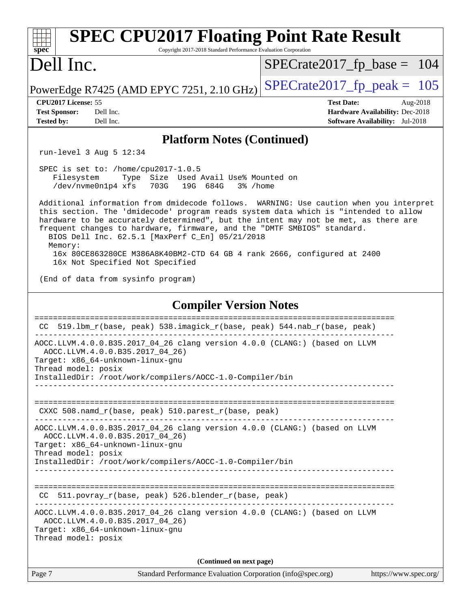| <b>SPEC CPU2017 Floating Point Rate Result</b><br>spec<br>Copyright 2017-2018 Standard Performance Evaluation Corporation                                                                                                                                                                                                                                                                         |                                                                           |  |  |  |  |
|---------------------------------------------------------------------------------------------------------------------------------------------------------------------------------------------------------------------------------------------------------------------------------------------------------------------------------------------------------------------------------------------------|---------------------------------------------------------------------------|--|--|--|--|
| Dell Inc.                                                                                                                                                                                                                                                                                                                                                                                         | $SPECrate2017_fp\_base = 104$                                             |  |  |  |  |
| PowerEdge R7425 (AMD EPYC 7251, 2.10 GHz)                                                                                                                                                                                                                                                                                                                                                         | $SPECrate2017_fp\_peak = 105$                                             |  |  |  |  |
| CPU2017 License: 55                                                                                                                                                                                                                                                                                                                                                                               | <b>Test Date:</b><br>Aug-2018                                             |  |  |  |  |
| <b>Test Sponsor:</b><br>Dell Inc.<br><b>Tested by:</b><br>Dell Inc.                                                                                                                                                                                                                                                                                                                               | Hardware Availability: Dec-2018<br><b>Software Availability:</b> Jul-2018 |  |  |  |  |
| <b>Platform Notes (Continued)</b>                                                                                                                                                                                                                                                                                                                                                                 |                                                                           |  |  |  |  |
| run-level $3$ Aug $5$ 12:34                                                                                                                                                                                                                                                                                                                                                                       |                                                                           |  |  |  |  |
| SPEC is set to: /home/cpu2017-1.0.5<br>Type Size Used Avail Use% Mounted on<br>Filesystem<br>/dev/nvme0n1p4 xfs<br>703G<br>19G 684G<br>3% /home                                                                                                                                                                                                                                                   |                                                                           |  |  |  |  |
| Additional information from dmidecode follows. WARNING: Use caution when you interpret<br>this section. The 'dmidecode' program reads system data which is "intended to allow<br>hardware to be accurately determined", but the intent may not be met, as there are<br>frequent changes to hardware, firmware, and the "DMTF SMBIOS" standard.<br>BIOS Dell Inc. 62.5.1 [MaxPerf C_En] 05/21/2018 |                                                                           |  |  |  |  |
| Memory:<br>16x 80CE863280CE M386A8K40BM2-CTD 64 GB 4 rank 2666, configured at 2400<br>16x Not Specified Not Specified                                                                                                                                                                                                                                                                             |                                                                           |  |  |  |  |
| (End of data from sysinfo program)                                                                                                                                                                                                                                                                                                                                                                |                                                                           |  |  |  |  |
| <b>Compiler Version Notes</b>                                                                                                                                                                                                                                                                                                                                                                     |                                                                           |  |  |  |  |
| 519.1bm_r(base, peak) 538.imagick_r(base, peak) 544.nab_r(base, peak)<br>CC.                                                                                                                                                                                                                                                                                                                      |                                                                           |  |  |  |  |
| AOCC.LLVM.4.0.0.B35.2017_04_26 clang version 4.0.0 (CLANG:) (based on LLVM<br>AOCC.LLVM.4.0.0.B35.2017_04_26)<br>Target: x86_64-unknown-linux-gnu                                                                                                                                                                                                                                                 |                                                                           |  |  |  |  |
| Thread model: posix<br>InstalledDir: /root/work/compilers/AOCC-1.0-Compiler/bin                                                                                                                                                                                                                                                                                                                   |                                                                           |  |  |  |  |
| CXXC 508.namd_r(base, peak) 510.parest_r(base, peak)                                                                                                                                                                                                                                                                                                                                              |                                                                           |  |  |  |  |
| AOCC.LLVM.4.0.0.B35.2017_04_26 clang version 4.0.0 (CLANG:) (based on LLVM<br>AOCC.LLVM.4.0.0.B35.2017_04_26)<br>Target: x86_64-unknown-linux-gnu                                                                                                                                                                                                                                                 |                                                                           |  |  |  |  |
| Thread model: posix<br>InstalledDir: /root/work/compilers/AOCC-1.0-Compiler/bin                                                                                                                                                                                                                                                                                                                   |                                                                           |  |  |  |  |
| CC 511.povray_r(base, peak) 526.blender_r(base, peak)                                                                                                                                                                                                                                                                                                                                             |                                                                           |  |  |  |  |
| AOCC.LLVM.4.0.0.B35.2017_04_26 clang version 4.0.0 (CLANG:) (based on LLVM<br>AOCC.LLVM.4.0.0.B35.2017_04_26)<br>Target: x86_64-unknown-linux-gnu<br>Thread model: posix                                                                                                                                                                                                                          |                                                                           |  |  |  |  |
| (Continued on next page)                                                                                                                                                                                                                                                                                                                                                                          |                                                                           |  |  |  |  |
| Page 7<br>Standard Performance Evaluation Corporation (info@spec.org)                                                                                                                                                                                                                                                                                                                             | https://www.spec.org/                                                     |  |  |  |  |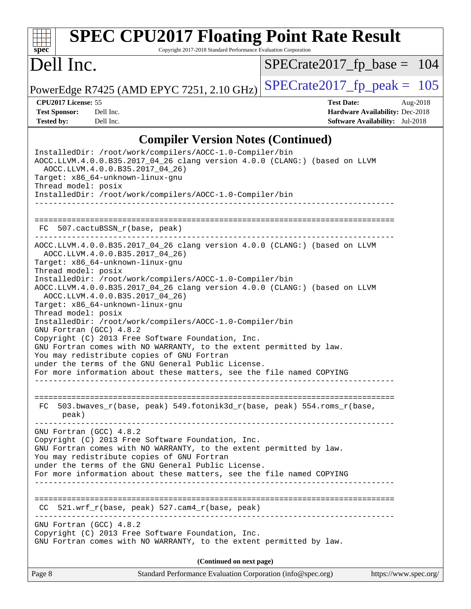#### **[spec](http://www.spec.org/) [SPEC CPU2017 Floating Point Rate Result](http://www.spec.org/auto/cpu2017/Docs/result-fields.html#SPECCPU2017FloatingPointRateResult)** Copyright 2017-2018 Standard Performance Evaluation Corporation Dell Inc. PowerEdge R7425 (AMD EPYC 7251, 2.10 GHz)  $\text{SPECrate2017\_fp\_peak} = 105$ [SPECrate2017\\_fp\\_base =](http://www.spec.org/auto/cpu2017/Docs/result-fields.html#SPECrate2017fpbase) 104 **[CPU2017 License:](http://www.spec.org/auto/cpu2017/Docs/result-fields.html#CPU2017License)** 55 **[Test Date:](http://www.spec.org/auto/cpu2017/Docs/result-fields.html#TestDate)** Aug-2018 **[Test Sponsor:](http://www.spec.org/auto/cpu2017/Docs/result-fields.html#TestSponsor)** Dell Inc. **[Hardware Availability:](http://www.spec.org/auto/cpu2017/Docs/result-fields.html#HardwareAvailability)** Dec-2018 **[Tested by:](http://www.spec.org/auto/cpu2017/Docs/result-fields.html#Testedby)** Dell Inc. **[Software Availability:](http://www.spec.org/auto/cpu2017/Docs/result-fields.html#SoftwareAvailability)** Jul-2018 **[Compiler Version Notes \(Continued\)](http://www.spec.org/auto/cpu2017/Docs/result-fields.html#CompilerVersionNotes)** InstalledDir: /root/work/compilers/AOCC-1.0-Compiler/bin AOCC.LLVM.4.0.0.B35.2017\_04\_26 clang version 4.0.0 (CLANG:) (based on LLVM AOCC.LLVM.4.0.0.B35.2017\_04\_26) Target: x86\_64-unknown-linux-gnu Thread model: posix InstalledDir: /root/work/compilers/AOCC-1.0-Compiler/bin ------------------------------------------------------------------------------ ============================================================================== FC 507.cactuBSSN\_r(base, peak) AOCC.LLVM.4.0.0.B35.2017\_04\_26 clang version 4.0.0 (CLANG:) (based on LLVM AOCC.LLVM.4.0.0.B35.2017\_04\_26) Target: x86\_64-unknown-linux-gnu Thread model: posix InstalledDir: /root/work/compilers/AOCC-1.0-Compiler/bin AOCC.LLVM.4.0.0.B35.2017\_04\_26 clang version 4.0.0 (CLANG:) (based on LLVM AOCC.LLVM.4.0.0.B35.2017\_04\_26) Target: x86\_64-unknown-linux-gnu Thread model: posix InstalledDir: /root/work/compilers/AOCC-1.0-Compiler/bin GNU Fortran (GCC) 4.8.2 Copyright (C) 2013 Free Software Foundation, Inc. GNU Fortran comes with NO WARRANTY, to the extent permitted by law. You may redistribute copies of GNU Fortran under the terms of the GNU General Public License. For more information about these matters, see the file named COPYING ------------------------------------------------------------------------------ ============================================================================== FC 503.bwaves\_r(base, peak) 549.fotonik3d\_r(base, peak) 554.roms\_r(base, peak) ------------------------------------------------------------------------------ GNU Fortran (GCC) 4.8.2 Copyright (C) 2013 Free Software Foundation, Inc. GNU Fortran comes with NO WARRANTY, to the extent permitted by law. You may redistribute copies of GNU Fortran under the terms of the GNU General Public License. For more information about these matters, see the file named COPYING ------------------------------------------------------------------------------ ============================================================================== CC 521.wrf\_r(base, peak) 527.cam4\_r(base, peak)

------------------------------------------------------------------------------

GNU Fortran (GCC) 4.8.2 Copyright (C) 2013 Free Software Foundation, Inc. GNU Fortran comes with NO WARRANTY, to the extent permitted by law.

**(Continued on next page)**

Page 8 Standard Performance Evaluation Corporation [\(info@spec.org\)](mailto:info@spec.org) <https://www.spec.org/>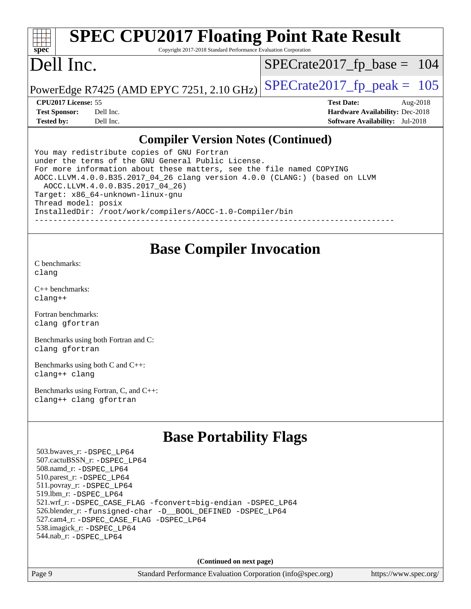#### **[spec](http://www.spec.org/) [SPEC CPU2017 Floating Point Rate Result](http://www.spec.org/auto/cpu2017/Docs/result-fields.html#SPECCPU2017FloatingPointRateResult)** Copyright 2017-2018 Standard Performance Evaluation Corporation Dell Inc. PowerEdge R7425 (AMD EPYC 7251, 2.10 GHz)  $\left|$  [SPECrate2017\\_fp\\_peak =](http://www.spec.org/auto/cpu2017/Docs/result-fields.html#SPECrate2017fppeak) 105 [SPECrate2017\\_fp\\_base =](http://www.spec.org/auto/cpu2017/Docs/result-fields.html#SPECrate2017fpbase) 104 **[CPU2017 License:](http://www.spec.org/auto/cpu2017/Docs/result-fields.html#CPU2017License)** 55 **[Test Date:](http://www.spec.org/auto/cpu2017/Docs/result-fields.html#TestDate)** Aug-2018 **[Test Sponsor:](http://www.spec.org/auto/cpu2017/Docs/result-fields.html#TestSponsor)** Dell Inc. **[Hardware Availability:](http://www.spec.org/auto/cpu2017/Docs/result-fields.html#HardwareAvailability)** Dec-2018 **[Tested by:](http://www.spec.org/auto/cpu2017/Docs/result-fields.html#Testedby)** Dell Inc. **[Software Availability:](http://www.spec.org/auto/cpu2017/Docs/result-fields.html#SoftwareAvailability)** Jul-2018 **[Compiler Version Notes \(Continued\)](http://www.spec.org/auto/cpu2017/Docs/result-fields.html#CompilerVersionNotes)**

You may redistribute copies of GNU Fortran under the terms of the GNU General Public License. For more information about these matters, see the file named COPYING AOCC.LLVM.4.0.0.B35.2017\_04\_26 clang version 4.0.0 (CLANG:) (based on LLVM AOCC.LLVM.4.0.0.B35.2017\_04\_26) Target: x86\_64-unknown-linux-gnu Thread model: posix InstalledDir: /root/work/compilers/AOCC-1.0-Compiler/bin ------------------------------------------------------------------------------

## **[Base Compiler Invocation](http://www.spec.org/auto/cpu2017/Docs/result-fields.html#BaseCompilerInvocation)**

[C benchmarks](http://www.spec.org/auto/cpu2017/Docs/result-fields.html#Cbenchmarks): [clang](http://www.spec.org/cpu2017/results/res2018q4/cpu2017-20181029-09362.flags.html#user_CCbase_Fclang3_a68b77bfed473bd9cdd22529af008e8306c2e3948617c8991604c1a2000ee4a73ef90dd8bc793e105fe4165a625d26dacbda4708d828ad19048918c071b363ec)

[C++ benchmarks:](http://www.spec.org/auto/cpu2017/Docs/result-fields.html#CXXbenchmarks) [clang++](http://www.spec.org/cpu2017/results/res2018q4/cpu2017-20181029-09362.flags.html#user_CXXbase_Fclang3_57a48582e5be507d19b2527b3e7d4f85d9b8669ffc9a8a0dbb9bcf949a918a58bbab411e0c4d14a3922022a3e425a90db94042683824c1806feff4324ca1000d)

[Fortran benchmarks](http://www.spec.org/auto/cpu2017/Docs/result-fields.html#Fortranbenchmarks): [clang](http://www.spec.org/cpu2017/results/res2018q4/cpu2017-20181029-09362.flags.html#user_FCbase_Fclang3_a68b77bfed473bd9cdd22529af008e8306c2e3948617c8991604c1a2000ee4a73ef90dd8bc793e105fe4165a625d26dacbda4708d828ad19048918c071b363ec) [gfortran](http://www.spec.org/cpu2017/results/res2018q4/cpu2017-20181029-09362.flags.html#user_FCbase_aocc-gfortran_128c91a56d61ddb07404721e65b8f9498c31a443dacbd3b7f212891090eca86e2d099b520f75b99e9e8ac4fdec01f4d15f0b65e47123ec4c42b0759045731a1f)

[Benchmarks using both Fortran and C](http://www.spec.org/auto/cpu2017/Docs/result-fields.html#BenchmarksusingbothFortranandC): [clang](http://www.spec.org/cpu2017/results/res2018q4/cpu2017-20181029-09362.flags.html#user_CC_FCbase_Fclang3_a68b77bfed473bd9cdd22529af008e8306c2e3948617c8991604c1a2000ee4a73ef90dd8bc793e105fe4165a625d26dacbda4708d828ad19048918c071b363ec) [gfortran](http://www.spec.org/cpu2017/results/res2018q4/cpu2017-20181029-09362.flags.html#user_CC_FCbase_aocc-gfortran_128c91a56d61ddb07404721e65b8f9498c31a443dacbd3b7f212891090eca86e2d099b520f75b99e9e8ac4fdec01f4d15f0b65e47123ec4c42b0759045731a1f)

[Benchmarks using both C and C++](http://www.spec.org/auto/cpu2017/Docs/result-fields.html#BenchmarksusingbothCandCXX): [clang++](http://www.spec.org/cpu2017/results/res2018q4/cpu2017-20181029-09362.flags.html#user_CC_CXXbase_Fclang3_57a48582e5be507d19b2527b3e7d4f85d9b8669ffc9a8a0dbb9bcf949a918a58bbab411e0c4d14a3922022a3e425a90db94042683824c1806feff4324ca1000d) [clang](http://www.spec.org/cpu2017/results/res2018q4/cpu2017-20181029-09362.flags.html#user_CC_CXXbase_Fclang3_a68b77bfed473bd9cdd22529af008e8306c2e3948617c8991604c1a2000ee4a73ef90dd8bc793e105fe4165a625d26dacbda4708d828ad19048918c071b363ec)

[Benchmarks using Fortran, C, and C++:](http://www.spec.org/auto/cpu2017/Docs/result-fields.html#BenchmarksusingFortranCandCXX) [clang++](http://www.spec.org/cpu2017/results/res2018q4/cpu2017-20181029-09362.flags.html#user_CC_CXX_FCbase_Fclang3_57a48582e5be507d19b2527b3e7d4f85d9b8669ffc9a8a0dbb9bcf949a918a58bbab411e0c4d14a3922022a3e425a90db94042683824c1806feff4324ca1000d) [clang](http://www.spec.org/cpu2017/results/res2018q4/cpu2017-20181029-09362.flags.html#user_CC_CXX_FCbase_Fclang3_a68b77bfed473bd9cdd22529af008e8306c2e3948617c8991604c1a2000ee4a73ef90dd8bc793e105fe4165a625d26dacbda4708d828ad19048918c071b363ec) [gfortran](http://www.spec.org/cpu2017/results/res2018q4/cpu2017-20181029-09362.flags.html#user_CC_CXX_FCbase_aocc-gfortran_128c91a56d61ddb07404721e65b8f9498c31a443dacbd3b7f212891090eca86e2d099b520f75b99e9e8ac4fdec01f4d15f0b65e47123ec4c42b0759045731a1f)

# **[Base Portability Flags](http://www.spec.org/auto/cpu2017/Docs/result-fields.html#BasePortabilityFlags)**

 503.bwaves\_r: [-DSPEC\\_LP64](http://www.spec.org/cpu2017/results/res2018q4/cpu2017-20181029-09362.flags.html#suite_baseEXTRA_PORTABILITY503_bwaves_r_DSPEC_LP64) 507.cactuBSSN\_r: [-DSPEC\\_LP64](http://www.spec.org/cpu2017/results/res2018q4/cpu2017-20181029-09362.flags.html#suite_baseEXTRA_PORTABILITY507_cactuBSSN_r_DSPEC_LP64) 508.namd\_r: [-DSPEC\\_LP64](http://www.spec.org/cpu2017/results/res2018q4/cpu2017-20181029-09362.flags.html#suite_baseEXTRA_PORTABILITY508_namd_r_DSPEC_LP64) 510.parest\_r: [-DSPEC\\_LP64](http://www.spec.org/cpu2017/results/res2018q4/cpu2017-20181029-09362.flags.html#suite_baseEXTRA_PORTABILITY510_parest_r_DSPEC_LP64) 511.povray\_r: [-DSPEC\\_LP64](http://www.spec.org/cpu2017/results/res2018q4/cpu2017-20181029-09362.flags.html#suite_baseEXTRA_PORTABILITY511_povray_r_DSPEC_LP64) 519.lbm\_r: [-DSPEC\\_LP64](http://www.spec.org/cpu2017/results/res2018q4/cpu2017-20181029-09362.flags.html#suite_baseEXTRA_PORTABILITY519_lbm_r_DSPEC_LP64) 521.wrf\_r: [-DSPEC\\_CASE\\_FLAG](http://www.spec.org/cpu2017/results/res2018q4/cpu2017-20181029-09362.flags.html#b521.wrf_r_baseCPORTABILITY_DSPEC_CASE_FLAG) [-fconvert=big-endian](http://www.spec.org/cpu2017/results/res2018q4/cpu2017-20181029-09362.flags.html#user_baseFPORTABILITY521_wrf_r_F-fconvert) [-DSPEC\\_LP64](http://www.spec.org/cpu2017/results/res2018q4/cpu2017-20181029-09362.flags.html#suite_baseEXTRA_PORTABILITY521_wrf_r_DSPEC_LP64) 526.blender\_r: [-funsigned-char](http://www.spec.org/cpu2017/results/res2018q4/cpu2017-20181029-09362.flags.html#user_baseCPORTABILITY526_blender_r_F-funsigned-char) [-D\\_\\_BOOL\\_DEFINED](http://www.spec.org/cpu2017/results/res2018q4/cpu2017-20181029-09362.flags.html#b526.blender_r_baseCXXPORTABILITY_D__BOOL_DEFINED) [-DSPEC\\_LP64](http://www.spec.org/cpu2017/results/res2018q4/cpu2017-20181029-09362.flags.html#suite_baseEXTRA_PORTABILITY526_blender_r_DSPEC_LP64) 527.cam4\_r: [-DSPEC\\_CASE\\_FLAG](http://www.spec.org/cpu2017/results/res2018q4/cpu2017-20181029-09362.flags.html#b527.cam4_r_basePORTABILITY_DSPEC_CASE_FLAG) [-DSPEC\\_LP64](http://www.spec.org/cpu2017/results/res2018q4/cpu2017-20181029-09362.flags.html#suite_baseEXTRA_PORTABILITY527_cam4_r_DSPEC_LP64) 538.imagick\_r: [-DSPEC\\_LP64](http://www.spec.org/cpu2017/results/res2018q4/cpu2017-20181029-09362.flags.html#suite_baseEXTRA_PORTABILITY538_imagick_r_DSPEC_LP64) 544.nab\_r: [-DSPEC\\_LP64](http://www.spec.org/cpu2017/results/res2018q4/cpu2017-20181029-09362.flags.html#suite_baseEXTRA_PORTABILITY544_nab_r_DSPEC_LP64)

**(Continued on next page)**

Page 9 Standard Performance Evaluation Corporation [\(info@spec.org\)](mailto:info@spec.org) <https://www.spec.org/>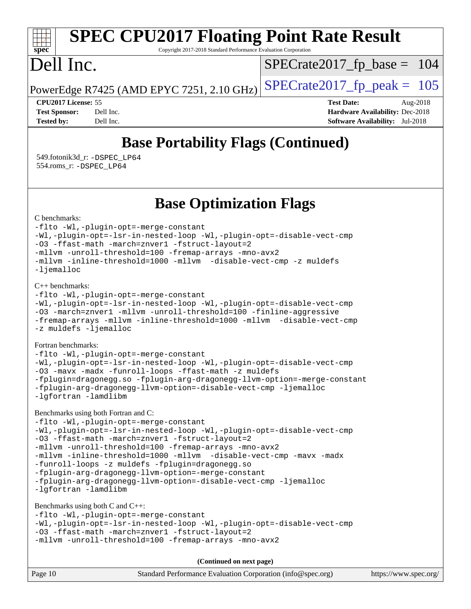#### **[SPEC CPU2017 Floating Point Rate Result](http://www.spec.org/auto/cpu2017/Docs/result-fields.html#SPECCPU2017FloatingPointRateResult)** ti h **[spec](http://www.spec.org/)** Copyright 2017-2018 Standard Performance Evaluation Corporation Dell Inc.  $SPECrate2017_fp\_base = 104$ PowerEdge R7425 (AMD EPYC 7251, 2.10 GHz)  $\left|$  [SPECrate2017\\_fp\\_peak =](http://www.spec.org/auto/cpu2017/Docs/result-fields.html#SPECrate2017fppeak) 105 **[CPU2017 License:](http://www.spec.org/auto/cpu2017/Docs/result-fields.html#CPU2017License)** 55 **[Test Date:](http://www.spec.org/auto/cpu2017/Docs/result-fields.html#TestDate)** Aug-2018 **[Test Sponsor:](http://www.spec.org/auto/cpu2017/Docs/result-fields.html#TestSponsor)** Dell Inc. **[Hardware Availability:](http://www.spec.org/auto/cpu2017/Docs/result-fields.html#HardwareAvailability)** Dec-2018 **[Tested by:](http://www.spec.org/auto/cpu2017/Docs/result-fields.html#Testedby)** Dell Inc. **[Software Availability:](http://www.spec.org/auto/cpu2017/Docs/result-fields.html#SoftwareAvailability)** Jul-2018

# **[Base Portability Flags \(Continued\)](http://www.spec.org/auto/cpu2017/Docs/result-fields.html#BasePortabilityFlags)**

 549.fotonik3d\_r: [-DSPEC\\_LP64](http://www.spec.org/cpu2017/results/res2018q4/cpu2017-20181029-09362.flags.html#suite_baseEXTRA_PORTABILITY549_fotonik3d_r_DSPEC_LP64) 554.roms\_r: [-DSPEC\\_LP64](http://www.spec.org/cpu2017/results/res2018q4/cpu2017-20181029-09362.flags.html#suite_baseEXTRA_PORTABILITY554_roms_r_DSPEC_LP64)

## **[Base Optimization Flags](http://www.spec.org/auto/cpu2017/Docs/result-fields.html#BaseOptimizationFlags)**

[C benchmarks](http://www.spec.org/auto/cpu2017/Docs/result-fields.html#Cbenchmarks):

[-flto](http://www.spec.org/cpu2017/results/res2018q4/cpu2017-20181029-09362.flags.html#user_CCbase_lto) [-Wl,-plugin-opt=-merge-constant](http://www.spec.org/cpu2017/results/res2018q4/cpu2017-20181029-09362.flags.html#user_CCbase_F-merge-constant_1d79771b5442061d9c8e05556c6b0c655e6c9e66f8c6936b0129d434b6acd2b1cf1b7cd2540d1570ff636111b08a6bc36e2e61fc34531f8ef7c1a34c57be1dbb) [-Wl,-plugin-opt=-lsr-in-nested-loop](http://www.spec.org/cpu2017/results/res2018q4/cpu2017-20181029-09362.flags.html#user_CCbase_lsr-in-nested-loop_1cff93fd95162f5e77640b5271e8bed680fb62b4a8d96fb8ab217ff3244646f1fbb342e31af83c263403bbf5249c7dc7732d5c86c3eab4cc8d32dcb7a6f33ca0) [-Wl,-plugin-opt=-disable-vect-cmp](http://www.spec.org/cpu2017/results/res2018q4/cpu2017-20181029-09362.flags.html#user_CCbase_disable-vect-cmp_1056b9a09b8ddc126e023b5f99ae33179ef568835465af9b7adeacf4b6480ff575c8aee439265bcfbcbf086f33f2fa5cca2bc4cf52b64c0cd2e10f6503cba02d) [-O3](http://www.spec.org/cpu2017/results/res2018q4/cpu2017-20181029-09362.flags.html#user_CCbase_F-O3) [-ffast-math](http://www.spec.org/cpu2017/results/res2018q4/cpu2017-20181029-09362.flags.html#user_CCbase_F-aocc-ffast-math_78dd175de6534c2005829757b9b0f2878e57b067cce6f7c443b2250ac68890960e2e1b320ca04b81ff7c62c6f87870ed05f06baf7875eea2990d38e3b73c71f1) [-march=znver1](http://www.spec.org/cpu2017/results/res2018q4/cpu2017-20181029-09362.flags.html#user_CCbase_F-march) [-fstruct-layout=2](http://www.spec.org/cpu2017/results/res2018q4/cpu2017-20181029-09362.flags.html#user_CCbase_F-fstruct-layout_a05ec02e17cdf7fe0c3950a6b005251b2b1e5e67af2b5298cf72714730c3d59ba290e75546b10aa22dac074c15ceaca36ae22c62cb51bcb2fbdc9dc4e7e222c4) [-mllvm -unroll-threshold=100](http://www.spec.org/cpu2017/results/res2018q4/cpu2017-20181029-09362.flags.html#user_CCbase_F-unroll-threshold_2755d0c78138845d361fa1543e3a063fffa198df9b3edf0cfb856bbc88a81e1769b12ac7a550c5d35197be55360db1a3f95a8d1304df999456cabf5120c45168) [-fremap-arrays](http://www.spec.org/cpu2017/results/res2018q4/cpu2017-20181029-09362.flags.html#user_CCbase_F-fremap-arrays) [-mno-avx2](http://www.spec.org/cpu2017/results/res2018q4/cpu2017-20181029-09362.flags.html#user_CCbase_F-mno-avx2) [-mllvm -inline-threshold=1000](http://www.spec.org/cpu2017/results/res2018q4/cpu2017-20181029-09362.flags.html#user_CCbase_inline-threshold_b7832241b0a6397e4ecdbaf0eb7defdc10f885c2a282fa3240fdc99844d543fda39cf8a4a9dccf68cf19b5438ac3b455264f478df15da0f4988afa40d8243bab) [-mllvm -disable-vect-cmp](http://www.spec.org/cpu2017/results/res2018q4/cpu2017-20181029-09362.flags.html#user_CCbase_disable-vect-cmp_d995c9eb800469498c6893dc847c54c903d59847b18cb2ac22011b9af7010c96d2d48d3c6b41246fe86945001509aa4dc528afb61cb238fd3b256a31781ea0cf) [-z muldefs](http://www.spec.org/cpu2017/results/res2018q4/cpu2017-20181029-09362.flags.html#user_CCbase_F-z-muldefs) [-ljemalloc](http://www.spec.org/cpu2017/results/res2018q4/cpu2017-20181029-09362.flags.html#user_CCbase_jemalloc-lib_d1249b907c500fa1c0672f44f562e3d0f79738ae9e3c4a9c376d49f265a04b9c99b167ecedbf6711b3085be911c67ff61f150a17b3472be731631ba4d0471706)

[C++ benchmarks:](http://www.spec.org/auto/cpu2017/Docs/result-fields.html#CXXbenchmarks)

```
-flto -Wl,-plugin-opt=-merge-constant
-Wl,-plugin-opt=-lsr-in-nested-loop -Wl,-plugin-opt=-disable-vect-cmp
-O3 -march=znver1 -mllvm -unroll-threshold=100 -finline-aggressive
-fremap-arrays -mllvm -inline-threshold=1000 -mllvm -disable-vect-cmp
-z muldefs -ljemalloc
```
[Fortran benchmarks](http://www.spec.org/auto/cpu2017/Docs/result-fields.html#Fortranbenchmarks):

```
-flto -Wl,-plugin-opt=-merge-constant
-Wl,-plugin-opt=-lsr-in-nested-loop -Wl,-plugin-opt=-disable-vect-cmp
-O3 -mavx -madx -funroll-loops -ffast-math -z muldefs
-fplugin=dragonegg.so -fplugin-arg-dragonegg-llvm-option=-merge-constant
-fplugin-arg-dragonegg-llvm-option=-disable-vect-cmp -ljemalloc
-lgfortran -lamdlibm
```
[Benchmarks using both Fortran and C](http://www.spec.org/auto/cpu2017/Docs/result-fields.html#BenchmarksusingbothFortranandC):

[-flto](http://www.spec.org/cpu2017/results/res2018q4/cpu2017-20181029-09362.flags.html#user_CC_FCbase_lto) [-Wl,-plugin-opt=-merge-constant](http://www.spec.org/cpu2017/results/res2018q4/cpu2017-20181029-09362.flags.html#user_CC_FCbase_F-merge-constant_1d79771b5442061d9c8e05556c6b0c655e6c9e66f8c6936b0129d434b6acd2b1cf1b7cd2540d1570ff636111b08a6bc36e2e61fc34531f8ef7c1a34c57be1dbb) [-Wl,-plugin-opt=-lsr-in-nested-loop](http://www.spec.org/cpu2017/results/res2018q4/cpu2017-20181029-09362.flags.html#user_CC_FCbase_lsr-in-nested-loop_1cff93fd95162f5e77640b5271e8bed680fb62b4a8d96fb8ab217ff3244646f1fbb342e31af83c263403bbf5249c7dc7732d5c86c3eab4cc8d32dcb7a6f33ca0) [-Wl,-plugin-opt=-disable-vect-cmp](http://www.spec.org/cpu2017/results/res2018q4/cpu2017-20181029-09362.flags.html#user_CC_FCbase_disable-vect-cmp_1056b9a09b8ddc126e023b5f99ae33179ef568835465af9b7adeacf4b6480ff575c8aee439265bcfbcbf086f33f2fa5cca2bc4cf52b64c0cd2e10f6503cba02d) [-O3](http://www.spec.org/cpu2017/results/res2018q4/cpu2017-20181029-09362.flags.html#user_CC_FCbase_F-O3) [-ffast-math](http://www.spec.org/cpu2017/results/res2018q4/cpu2017-20181029-09362.flags.html#user_CC_FCbase_F-aocc-ffast-math_78dd175de6534c2005829757b9b0f2878e57b067cce6f7c443b2250ac68890960e2e1b320ca04b81ff7c62c6f87870ed05f06baf7875eea2990d38e3b73c71f1) [-march=znver1](http://www.spec.org/cpu2017/results/res2018q4/cpu2017-20181029-09362.flags.html#user_CC_FCbase_F-march) [-fstruct-layout=2](http://www.spec.org/cpu2017/results/res2018q4/cpu2017-20181029-09362.flags.html#user_CC_FCbase_F-fstruct-layout_a05ec02e17cdf7fe0c3950a6b005251b2b1e5e67af2b5298cf72714730c3d59ba290e75546b10aa22dac074c15ceaca36ae22c62cb51bcb2fbdc9dc4e7e222c4) [-mllvm -unroll-threshold=100](http://www.spec.org/cpu2017/results/res2018q4/cpu2017-20181029-09362.flags.html#user_CC_FCbase_F-unroll-threshold_2755d0c78138845d361fa1543e3a063fffa198df9b3edf0cfb856bbc88a81e1769b12ac7a550c5d35197be55360db1a3f95a8d1304df999456cabf5120c45168) [-fremap-arrays](http://www.spec.org/cpu2017/results/res2018q4/cpu2017-20181029-09362.flags.html#user_CC_FCbase_F-fremap-arrays) [-mno-avx2](http://www.spec.org/cpu2017/results/res2018q4/cpu2017-20181029-09362.flags.html#user_CC_FCbase_F-mno-avx2) [-mllvm -inline-threshold=1000](http://www.spec.org/cpu2017/results/res2018q4/cpu2017-20181029-09362.flags.html#user_CC_FCbase_inline-threshold_b7832241b0a6397e4ecdbaf0eb7defdc10f885c2a282fa3240fdc99844d543fda39cf8a4a9dccf68cf19b5438ac3b455264f478df15da0f4988afa40d8243bab) [-mllvm -disable-vect-cmp](http://www.spec.org/cpu2017/results/res2018q4/cpu2017-20181029-09362.flags.html#user_CC_FCbase_disable-vect-cmp_d995c9eb800469498c6893dc847c54c903d59847b18cb2ac22011b9af7010c96d2d48d3c6b41246fe86945001509aa4dc528afb61cb238fd3b256a31781ea0cf) [-mavx](http://www.spec.org/cpu2017/results/res2018q4/cpu2017-20181029-09362.flags.html#user_CC_FCbase_F-mavx) [-madx](http://www.spec.org/cpu2017/results/res2018q4/cpu2017-20181029-09362.flags.html#user_CC_FCbase_F-madx) [-funroll-loops](http://www.spec.org/cpu2017/results/res2018q4/cpu2017-20181029-09362.flags.html#user_CC_FCbase_aocc-funroll-loops) [-z muldefs](http://www.spec.org/cpu2017/results/res2018q4/cpu2017-20181029-09362.flags.html#user_CC_FCbase_F-z-muldefs) [-fplugin=dragonegg.so](http://www.spec.org/cpu2017/results/res2018q4/cpu2017-20181029-09362.flags.html#user_CC_FCbase_F-fpluginDragonEgg) [-fplugin-arg-dragonegg-llvm-option=-merge-constant](http://www.spec.org/cpu2017/results/res2018q4/cpu2017-20181029-09362.flags.html#user_CC_FCbase_F-merge-constant_37fd66d07a4fbae8f1b816e843c3ed1ebaa48f794b65ea8be746a1880566a3d23eba4a3c37b5c024650311adcf9247c62af28144803b3729b14be14423fa5142) [-fplugin-arg-dragonegg-llvm-option=-disable-vect-cmp](http://www.spec.org/cpu2017/results/res2018q4/cpu2017-20181029-09362.flags.html#user_CC_FCbase_disable-vect-cmp_d119dd6f96524d64dc477d5e6a72268aebe046b42f767098038bf7530fc0cc546dd329b2376104fde185baca14f7365ef86ccd3ff602b57a7839de005478f594) [-ljemalloc](http://www.spec.org/cpu2017/results/res2018q4/cpu2017-20181029-09362.flags.html#user_CC_FCbase_jemalloc-lib_d1249b907c500fa1c0672f44f562e3d0f79738ae9e3c4a9c376d49f265a04b9c99b167ecedbf6711b3085be911c67ff61f150a17b3472be731631ba4d0471706) [-lgfortran](http://www.spec.org/cpu2017/results/res2018q4/cpu2017-20181029-09362.flags.html#user_CC_FCbase_F-lgfortran) [-lamdlibm](http://www.spec.org/cpu2017/results/res2018q4/cpu2017-20181029-09362.flags.html#user_CC_FCbase_F-lamdlibm)

[Benchmarks using both C and C++](http://www.spec.org/auto/cpu2017/Docs/result-fields.html#BenchmarksusingbothCandCXX): [-flto](http://www.spec.org/cpu2017/results/res2018q4/cpu2017-20181029-09362.flags.html#user_CC_CXXbase_lto) [-Wl,-plugin-opt=-merge-constant](http://www.spec.org/cpu2017/results/res2018q4/cpu2017-20181029-09362.flags.html#user_CC_CXXbase_F-merge-constant_1d79771b5442061d9c8e05556c6b0c655e6c9e66f8c6936b0129d434b6acd2b1cf1b7cd2540d1570ff636111b08a6bc36e2e61fc34531f8ef7c1a34c57be1dbb) [-Wl,-plugin-opt=-lsr-in-nested-loop](http://www.spec.org/cpu2017/results/res2018q4/cpu2017-20181029-09362.flags.html#user_CC_CXXbase_lsr-in-nested-loop_1cff93fd95162f5e77640b5271e8bed680fb62b4a8d96fb8ab217ff3244646f1fbb342e31af83c263403bbf5249c7dc7732d5c86c3eab4cc8d32dcb7a6f33ca0) [-Wl,-plugin-opt=-disable-vect-cmp](http://www.spec.org/cpu2017/results/res2018q4/cpu2017-20181029-09362.flags.html#user_CC_CXXbase_disable-vect-cmp_1056b9a09b8ddc126e023b5f99ae33179ef568835465af9b7adeacf4b6480ff575c8aee439265bcfbcbf086f33f2fa5cca2bc4cf52b64c0cd2e10f6503cba02d) [-O3](http://www.spec.org/cpu2017/results/res2018q4/cpu2017-20181029-09362.flags.html#user_CC_CXXbase_F-O3) [-ffast-math](http://www.spec.org/cpu2017/results/res2018q4/cpu2017-20181029-09362.flags.html#user_CC_CXXbase_F-aocc-ffast-math_78dd175de6534c2005829757b9b0f2878e57b067cce6f7c443b2250ac68890960e2e1b320ca04b81ff7c62c6f87870ed05f06baf7875eea2990d38e3b73c71f1) [-march=znver1](http://www.spec.org/cpu2017/results/res2018q4/cpu2017-20181029-09362.flags.html#user_CC_CXXbase_F-march) [-fstruct-layout=2](http://www.spec.org/cpu2017/results/res2018q4/cpu2017-20181029-09362.flags.html#user_CC_CXXbase_F-fstruct-layout_a05ec02e17cdf7fe0c3950a6b005251b2b1e5e67af2b5298cf72714730c3d59ba290e75546b10aa22dac074c15ceaca36ae22c62cb51bcb2fbdc9dc4e7e222c4) [-mllvm -unroll-threshold=100](http://www.spec.org/cpu2017/results/res2018q4/cpu2017-20181029-09362.flags.html#user_CC_CXXbase_F-unroll-threshold_2755d0c78138845d361fa1543e3a063fffa198df9b3edf0cfb856bbc88a81e1769b12ac7a550c5d35197be55360db1a3f95a8d1304df999456cabf5120c45168) [-fremap-arrays](http://www.spec.org/cpu2017/results/res2018q4/cpu2017-20181029-09362.flags.html#user_CC_CXXbase_F-fremap-arrays) [-mno-avx2](http://www.spec.org/cpu2017/results/res2018q4/cpu2017-20181029-09362.flags.html#user_CC_CXXbase_F-mno-avx2)

**(Continued on next page)**

| Page 10 | Standard Performance Evaluation Corporation (info@spec.org) | https://www.spec.org/ |
|---------|-------------------------------------------------------------|-----------------------|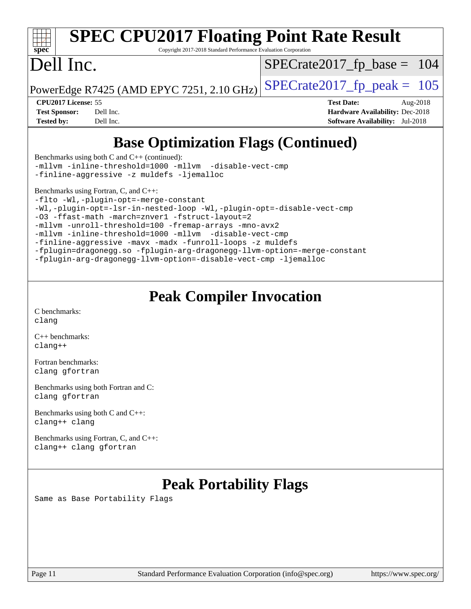| <b>SPEC CPU2017 Floating Point Rate Result</b><br>spec <sup>®</sup><br>Copyright 2017-2018 Standard Performance Evaluation Corporation |                                        |  |  |  |  |  |  |
|----------------------------------------------------------------------------------------------------------------------------------------|----------------------------------------|--|--|--|--|--|--|
| Dell Inc.                                                                                                                              | $SPECrate2017_fp\_base = 104$          |  |  |  |  |  |  |
| PowerEdge R7425 (AMD EPYC 7251, 2.10 GHz)                                                                                              | $SPECrate2017_fp\_peak = 105$          |  |  |  |  |  |  |
| CPU <sub>2017</sub> License: 55                                                                                                        | <b>Test Date:</b><br>Aug-2018          |  |  |  |  |  |  |
| Dell Inc.<br><b>Test Sponsor:</b>                                                                                                      | <b>Hardware Availability: Dec-2018</b> |  |  |  |  |  |  |
| <b>Tested by:</b><br>Dell Inc.                                                                                                         | <b>Software Availability:</b> Jul-2018 |  |  |  |  |  |  |
| <b>Base Optimization Flags (Continued)</b><br>Benchmarks using both C and $C_{++}$ (continued):                                        |                                        |  |  |  |  |  |  |
|                                                                                                                                        |                                        |  |  |  |  |  |  |

[-mllvm -inline-threshold=1000](http://www.spec.org/cpu2017/results/res2018q4/cpu2017-20181029-09362.flags.html#user_CC_CXXbase_inline-threshold_b7832241b0a6397e4ecdbaf0eb7defdc10f885c2a282fa3240fdc99844d543fda39cf8a4a9dccf68cf19b5438ac3b455264f478df15da0f4988afa40d8243bab) [-mllvm -disable-vect-cmp](http://www.spec.org/cpu2017/results/res2018q4/cpu2017-20181029-09362.flags.html#user_CC_CXXbase_disable-vect-cmp_d995c9eb800469498c6893dc847c54c903d59847b18cb2ac22011b9af7010c96d2d48d3c6b41246fe86945001509aa4dc528afb61cb238fd3b256a31781ea0cf) [-finline-aggressive](http://www.spec.org/cpu2017/results/res2018q4/cpu2017-20181029-09362.flags.html#user_CC_CXXbase_F-finline-aggressive) [-z muldefs](http://www.spec.org/cpu2017/results/res2018q4/cpu2017-20181029-09362.flags.html#user_CC_CXXbase_F-z-muldefs) [-ljemalloc](http://www.spec.org/cpu2017/results/res2018q4/cpu2017-20181029-09362.flags.html#user_CC_CXXbase_jemalloc-lib_d1249b907c500fa1c0672f44f562e3d0f79738ae9e3c4a9c376d49f265a04b9c99b167ecedbf6711b3085be911c67ff61f150a17b3472be731631ba4d0471706)

[Benchmarks using Fortran, C, and C++:](http://www.spec.org/auto/cpu2017/Docs/result-fields.html#BenchmarksusingFortranCandCXX)

[-flto](http://www.spec.org/cpu2017/results/res2018q4/cpu2017-20181029-09362.flags.html#user_CC_CXX_FCbase_lto) [-Wl,-plugin-opt=-merge-constant](http://www.spec.org/cpu2017/results/res2018q4/cpu2017-20181029-09362.flags.html#user_CC_CXX_FCbase_F-merge-constant_1d79771b5442061d9c8e05556c6b0c655e6c9e66f8c6936b0129d434b6acd2b1cf1b7cd2540d1570ff636111b08a6bc36e2e61fc34531f8ef7c1a34c57be1dbb) [-Wl,-plugin-opt=-lsr-in-nested-loop](http://www.spec.org/cpu2017/results/res2018q4/cpu2017-20181029-09362.flags.html#user_CC_CXX_FCbase_lsr-in-nested-loop_1cff93fd95162f5e77640b5271e8bed680fb62b4a8d96fb8ab217ff3244646f1fbb342e31af83c263403bbf5249c7dc7732d5c86c3eab4cc8d32dcb7a6f33ca0) [-Wl,-plugin-opt=-disable-vect-cmp](http://www.spec.org/cpu2017/results/res2018q4/cpu2017-20181029-09362.flags.html#user_CC_CXX_FCbase_disable-vect-cmp_1056b9a09b8ddc126e023b5f99ae33179ef568835465af9b7adeacf4b6480ff575c8aee439265bcfbcbf086f33f2fa5cca2bc4cf52b64c0cd2e10f6503cba02d) [-O3](http://www.spec.org/cpu2017/results/res2018q4/cpu2017-20181029-09362.flags.html#user_CC_CXX_FCbase_F-O3) [-ffast-math](http://www.spec.org/cpu2017/results/res2018q4/cpu2017-20181029-09362.flags.html#user_CC_CXX_FCbase_F-aocc-ffast-math_78dd175de6534c2005829757b9b0f2878e57b067cce6f7c443b2250ac68890960e2e1b320ca04b81ff7c62c6f87870ed05f06baf7875eea2990d38e3b73c71f1) [-march=znver1](http://www.spec.org/cpu2017/results/res2018q4/cpu2017-20181029-09362.flags.html#user_CC_CXX_FCbase_F-march) [-fstruct-layout=2](http://www.spec.org/cpu2017/results/res2018q4/cpu2017-20181029-09362.flags.html#user_CC_CXX_FCbase_F-fstruct-layout_a05ec02e17cdf7fe0c3950a6b005251b2b1e5e67af2b5298cf72714730c3d59ba290e75546b10aa22dac074c15ceaca36ae22c62cb51bcb2fbdc9dc4e7e222c4) [-mllvm -unroll-threshold=100](http://www.spec.org/cpu2017/results/res2018q4/cpu2017-20181029-09362.flags.html#user_CC_CXX_FCbase_F-unroll-threshold_2755d0c78138845d361fa1543e3a063fffa198df9b3edf0cfb856bbc88a81e1769b12ac7a550c5d35197be55360db1a3f95a8d1304df999456cabf5120c45168) [-fremap-arrays](http://www.spec.org/cpu2017/results/res2018q4/cpu2017-20181029-09362.flags.html#user_CC_CXX_FCbase_F-fremap-arrays) [-mno-avx2](http://www.spec.org/cpu2017/results/res2018q4/cpu2017-20181029-09362.flags.html#user_CC_CXX_FCbase_F-mno-avx2) [-mllvm -inline-threshold=1000](http://www.spec.org/cpu2017/results/res2018q4/cpu2017-20181029-09362.flags.html#user_CC_CXX_FCbase_inline-threshold_b7832241b0a6397e4ecdbaf0eb7defdc10f885c2a282fa3240fdc99844d543fda39cf8a4a9dccf68cf19b5438ac3b455264f478df15da0f4988afa40d8243bab) [-mllvm -disable-vect-cmp](http://www.spec.org/cpu2017/results/res2018q4/cpu2017-20181029-09362.flags.html#user_CC_CXX_FCbase_disable-vect-cmp_d995c9eb800469498c6893dc847c54c903d59847b18cb2ac22011b9af7010c96d2d48d3c6b41246fe86945001509aa4dc528afb61cb238fd3b256a31781ea0cf) [-finline-aggressive](http://www.spec.org/cpu2017/results/res2018q4/cpu2017-20181029-09362.flags.html#user_CC_CXX_FCbase_F-finline-aggressive) [-mavx](http://www.spec.org/cpu2017/results/res2018q4/cpu2017-20181029-09362.flags.html#user_CC_CXX_FCbase_F-mavx) [-madx](http://www.spec.org/cpu2017/results/res2018q4/cpu2017-20181029-09362.flags.html#user_CC_CXX_FCbase_F-madx) [-funroll-loops](http://www.spec.org/cpu2017/results/res2018q4/cpu2017-20181029-09362.flags.html#user_CC_CXX_FCbase_aocc-funroll-loops) [-z muldefs](http://www.spec.org/cpu2017/results/res2018q4/cpu2017-20181029-09362.flags.html#user_CC_CXX_FCbase_F-z-muldefs) [-fplugin=dragonegg.so](http://www.spec.org/cpu2017/results/res2018q4/cpu2017-20181029-09362.flags.html#user_CC_CXX_FCbase_F-fpluginDragonEgg) [-fplugin-arg-dragonegg-llvm-option=-merge-constant](http://www.spec.org/cpu2017/results/res2018q4/cpu2017-20181029-09362.flags.html#user_CC_CXX_FCbase_F-merge-constant_37fd66d07a4fbae8f1b816e843c3ed1ebaa48f794b65ea8be746a1880566a3d23eba4a3c37b5c024650311adcf9247c62af28144803b3729b14be14423fa5142) [-fplugin-arg-dragonegg-llvm-option=-disable-vect-cmp](http://www.spec.org/cpu2017/results/res2018q4/cpu2017-20181029-09362.flags.html#user_CC_CXX_FCbase_disable-vect-cmp_d119dd6f96524d64dc477d5e6a72268aebe046b42f767098038bf7530fc0cc546dd329b2376104fde185baca14f7365ef86ccd3ff602b57a7839de005478f594) [-ljemalloc](http://www.spec.org/cpu2017/results/res2018q4/cpu2017-20181029-09362.flags.html#user_CC_CXX_FCbase_jemalloc-lib_d1249b907c500fa1c0672f44f562e3d0f79738ae9e3c4a9c376d49f265a04b9c99b167ecedbf6711b3085be911c67ff61f150a17b3472be731631ba4d0471706)

# **[Peak Compiler Invocation](http://www.spec.org/auto/cpu2017/Docs/result-fields.html#PeakCompilerInvocation)**

[C benchmarks](http://www.spec.org/auto/cpu2017/Docs/result-fields.html#Cbenchmarks): [clang](http://www.spec.org/cpu2017/results/res2018q4/cpu2017-20181029-09362.flags.html#user_CCpeak_Fclang3_a68b77bfed473bd9cdd22529af008e8306c2e3948617c8991604c1a2000ee4a73ef90dd8bc793e105fe4165a625d26dacbda4708d828ad19048918c071b363ec)

[C++ benchmarks:](http://www.spec.org/auto/cpu2017/Docs/result-fields.html#CXXbenchmarks) [clang++](http://www.spec.org/cpu2017/results/res2018q4/cpu2017-20181029-09362.flags.html#user_CXXpeak_Fclang3_57a48582e5be507d19b2527b3e7d4f85d9b8669ffc9a8a0dbb9bcf949a918a58bbab411e0c4d14a3922022a3e425a90db94042683824c1806feff4324ca1000d)

[Fortran benchmarks](http://www.spec.org/auto/cpu2017/Docs/result-fields.html#Fortranbenchmarks): [clang](http://www.spec.org/cpu2017/results/res2018q4/cpu2017-20181029-09362.flags.html#user_FCpeak_Fclang3_a68b77bfed473bd9cdd22529af008e8306c2e3948617c8991604c1a2000ee4a73ef90dd8bc793e105fe4165a625d26dacbda4708d828ad19048918c071b363ec) [gfortran](http://www.spec.org/cpu2017/results/res2018q4/cpu2017-20181029-09362.flags.html#user_FCpeak_aocc-gfortran_128c91a56d61ddb07404721e65b8f9498c31a443dacbd3b7f212891090eca86e2d099b520f75b99e9e8ac4fdec01f4d15f0b65e47123ec4c42b0759045731a1f)

[Benchmarks using both Fortran and C](http://www.spec.org/auto/cpu2017/Docs/result-fields.html#BenchmarksusingbothFortranandC): [clang](http://www.spec.org/cpu2017/results/res2018q4/cpu2017-20181029-09362.flags.html#user_CC_FCpeak_Fclang3_a68b77bfed473bd9cdd22529af008e8306c2e3948617c8991604c1a2000ee4a73ef90dd8bc793e105fe4165a625d26dacbda4708d828ad19048918c071b363ec) [gfortran](http://www.spec.org/cpu2017/results/res2018q4/cpu2017-20181029-09362.flags.html#user_CC_FCpeak_aocc-gfortran_128c91a56d61ddb07404721e65b8f9498c31a443dacbd3b7f212891090eca86e2d099b520f75b99e9e8ac4fdec01f4d15f0b65e47123ec4c42b0759045731a1f)

[Benchmarks using both C and C++](http://www.spec.org/auto/cpu2017/Docs/result-fields.html#BenchmarksusingbothCandCXX): [clang++](http://www.spec.org/cpu2017/results/res2018q4/cpu2017-20181029-09362.flags.html#user_CC_CXXpeak_Fclang3_57a48582e5be507d19b2527b3e7d4f85d9b8669ffc9a8a0dbb9bcf949a918a58bbab411e0c4d14a3922022a3e425a90db94042683824c1806feff4324ca1000d) [clang](http://www.spec.org/cpu2017/results/res2018q4/cpu2017-20181029-09362.flags.html#user_CC_CXXpeak_Fclang3_a68b77bfed473bd9cdd22529af008e8306c2e3948617c8991604c1a2000ee4a73ef90dd8bc793e105fe4165a625d26dacbda4708d828ad19048918c071b363ec)

[Benchmarks using Fortran, C, and C++:](http://www.spec.org/auto/cpu2017/Docs/result-fields.html#BenchmarksusingFortranCandCXX) [clang++](http://www.spec.org/cpu2017/results/res2018q4/cpu2017-20181029-09362.flags.html#user_CC_CXX_FCpeak_Fclang3_57a48582e5be507d19b2527b3e7d4f85d9b8669ffc9a8a0dbb9bcf949a918a58bbab411e0c4d14a3922022a3e425a90db94042683824c1806feff4324ca1000d) [clang](http://www.spec.org/cpu2017/results/res2018q4/cpu2017-20181029-09362.flags.html#user_CC_CXX_FCpeak_Fclang3_a68b77bfed473bd9cdd22529af008e8306c2e3948617c8991604c1a2000ee4a73ef90dd8bc793e105fe4165a625d26dacbda4708d828ad19048918c071b363ec) [gfortran](http://www.spec.org/cpu2017/results/res2018q4/cpu2017-20181029-09362.flags.html#user_CC_CXX_FCpeak_aocc-gfortran_128c91a56d61ddb07404721e65b8f9498c31a443dacbd3b7f212891090eca86e2d099b520f75b99e9e8ac4fdec01f4d15f0b65e47123ec4c42b0759045731a1f)

# **[Peak Portability Flags](http://www.spec.org/auto/cpu2017/Docs/result-fields.html#PeakPortabilityFlags)**

Same as Base Portability Flags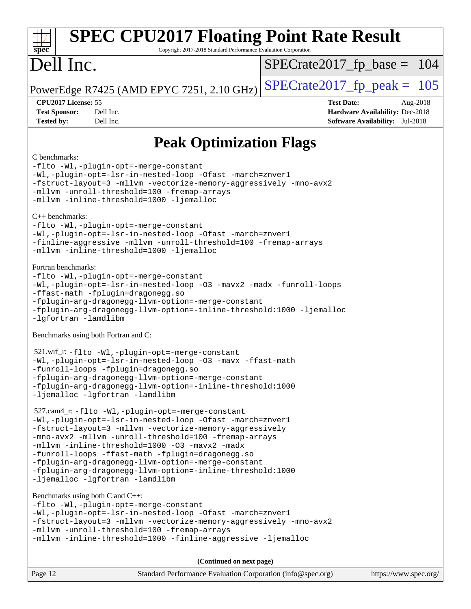| <b>SPEC CPU2017 Floating Point Rate Result</b><br>Copyright 2017-2018 Standard Performance Evaluation Corporation<br>$spec^*$                                                                                                                                                                                                                                                                                                                                                                                                                                                                                                                                                                                                                                    |                                                                                                            |  |  |  |
|------------------------------------------------------------------------------------------------------------------------------------------------------------------------------------------------------------------------------------------------------------------------------------------------------------------------------------------------------------------------------------------------------------------------------------------------------------------------------------------------------------------------------------------------------------------------------------------------------------------------------------------------------------------------------------------------------------------------------------------------------------------|------------------------------------------------------------------------------------------------------------|--|--|--|
| Dell Inc.                                                                                                                                                                                                                                                                                                                                                                                                                                                                                                                                                                                                                                                                                                                                                        | $SPECrate2017_fp\_base = 104$                                                                              |  |  |  |
| PowerEdge R7425 (AMD EPYC 7251, 2.10 GHz)                                                                                                                                                                                                                                                                                                                                                                                                                                                                                                                                                                                                                                                                                                                        | $SPECrate2017fp peak = 105$                                                                                |  |  |  |
| CPU2017 License: 55<br><b>Test Sponsor:</b><br>Dell Inc.<br>Dell Inc.<br><b>Tested by:</b>                                                                                                                                                                                                                                                                                                                                                                                                                                                                                                                                                                                                                                                                       | <b>Test Date:</b><br>Aug-2018<br>Hardware Availability: Dec-2018<br><b>Software Availability:</b> Jul-2018 |  |  |  |
| <b>Peak Optimization Flags</b>                                                                                                                                                                                                                                                                                                                                                                                                                                                                                                                                                                                                                                                                                                                                   |                                                                                                            |  |  |  |
| C benchmarks:<br>-flto -Wl,-plugin-opt=-merge-constant<br>-Wl,-plugin-opt=-lsr-in-nested-loop -Ofast -march=znver1<br>-fstruct-layout=3 -mllvm -vectorize-memory-aggressively -mno-avx2<br>-mllvm -unroll-threshold=100 -fremap-arrays<br>-mllvm -inline-threshold=1000 -ljemalloc<br>$C_{++}$ benchmarks:<br>-flto -Wl,-plugin-opt=-merge-constant<br>-Wl,-plugin-opt=-lsr-in-nested-loop -Ofast -march=znver1<br>-finline-aggressive -mllvm -unroll-threshold=100 -fremap-arrays<br>-mllvm -inline-threshold=1000 -ljemalloc<br>Fortran benchmarks:<br>-flto -Wl,-plugin-opt=-merge-constant<br>-Wl,-plugin-opt=-lsr-in-nested-loop -03 -mavx2 -madx -funroll-loops<br>-ffast-math -fplugin=dragonegg.so<br>-fplugin-arg-dragonegg-llvm-option=-merge-constant |                                                                                                            |  |  |  |
| -fplugin-arg-dragonegg-llvm-option=-inline-threshold:1000 -ljemalloc<br>-lgfortran -lamdlibm                                                                                                                                                                                                                                                                                                                                                                                                                                                                                                                                                                                                                                                                     |                                                                                                            |  |  |  |
| Benchmarks using both Fortran and C:<br>521.wrf_r:-flto -Wl,-plugin-opt=-merge-constant<br>-Wl,-plugin-opt=-lsr-in-nested-loop -03 -mavx -ffast-math<br>-funroll-loops -fplugin=dragonegg.so<br>-fplugin-arg-dragonegg-llvm-option=-merge-constant<br>-fplugin-arg-dragonegg-llvm-option=-inline-threshold:1000<br>-ljemalloc -lgfortran -lamdlibm                                                                                                                                                                                                                                                                                                                                                                                                               |                                                                                                            |  |  |  |
| 527.cam4_r: -flto -Wl,-plugin-opt=-merge-constant<br>-Wl,-plugin-opt=-lsr-in-nested-loop -Ofast -march=znver1<br>-fstruct-layout=3 -mllvm -vectorize-memory-aggressively<br>-mno-avx2 -mllvm -unroll-threshold=100 -fremap-arrays<br>-mllvm -inline-threshold=1000 -03 -mavx2 -madx<br>-funroll-loops -ffast-math -fplugin=dragonegg.so<br>-fplugin-arg-dragonegg-llvm-option=-merge-constant<br>-fplugin-arg-dragonegg-llvm-option=-inline-threshold:1000<br>-ljemalloc -lgfortran -lamdlibm                                                                                                                                                                                                                                                                    |                                                                                                            |  |  |  |
| Benchmarks using both C and C++:<br>-flto -Wl,-plugin-opt=-merge-constant<br>-Wl,-plugin-opt=-lsr-in-nested-loop -Ofast -march=znver1<br>-fstruct-layout=3 -mllvm -vectorize-memory-aggressively -mno-avx2<br>-mllvm -unroll-threshold=100 -fremap-arrays<br>-mllvm -inline-threshold=1000 -finline-aggressive -ljemalloc                                                                                                                                                                                                                                                                                                                                                                                                                                        |                                                                                                            |  |  |  |
| (Continued on next page)                                                                                                                                                                                                                                                                                                                                                                                                                                                                                                                                                                                                                                                                                                                                         |                                                                                                            |  |  |  |
| Page 12<br>Standard Performance Evaluation Corporation (info@spec.org)                                                                                                                                                                                                                                                                                                                                                                                                                                                                                                                                                                                                                                                                                           | https://www.spec.org/                                                                                      |  |  |  |